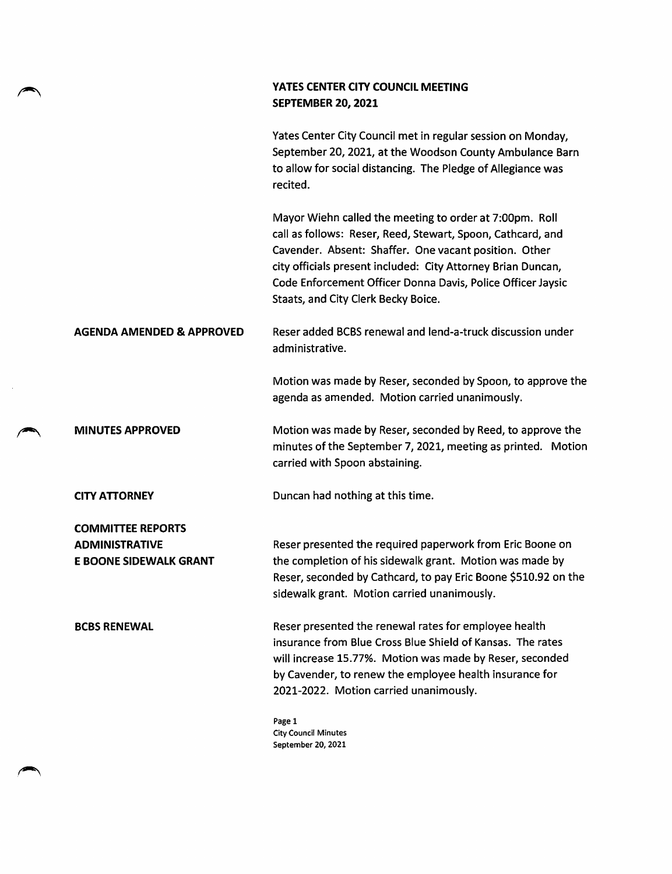## YATES CENTER CITY COUNCIL MEETING SEPTEMBER 20, 2021

Yates Center City Council met in regular session on Monday, September 20, 2021, at the Woodson County Ambulance Barn to allow for social distancing. The Pledge of Allegiance was recited.

Mayor Wiehn called the meeting to order at 7:00pm. Roll call as follows: Reser, Reed, Stewart, Spoon, Cathcard, and Cavender. Absent: Shaffer. One vacant position. Other city officials present included: City Attorney Brian Duncan, Code Enforcement Officer Donna Davis, Police Officer Jaysic Staats, and City Clerk Becky Boice.

## AGENDA AMENDED & APPROVED Reser added BCBS renewal and lend-a-truck discussion under administrative.

Motion was made by Reser, seconded by Spoon, to approve the agenda as amended. Motion carried unanimously.

## MINUTES APPROVED Motion was made by Reser, seconded by Reed, to approve the minutes of the September 7, 2021, meeting as printed. Motion carried with Spoon abstaining.

CITY ATTORNEY Duncan had nothing at this time.

COMMITTEE REPORTS ADMINISTRATIVE E BOONE SIDEWALK GRANT

Reser presented the required paperwork from Eric Boone on the completion of his sidewalk grant. Motion was made by Reser, seconded by Cathcard, to pay Eric Boone \$510.92 on the sidewalk grant. Motion carried unanimously.

BCBS RENEWAL Reser presented the renewal rates for employee health insurance from Blue Cross Blue Shield of Kansas. The rates will increase 15.77%. Motion was made by Reser, seconded by Cavender, to renew the employee health insurance for 2021-2022. Motion carried unanimously.

> Page 1 City Council Minutes September 20, 2021